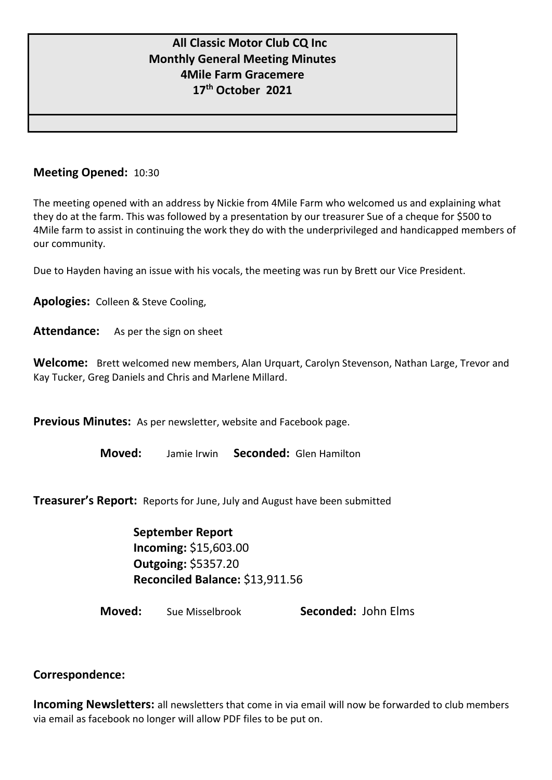# **All Classic Motor Club CQ Inc Monthly General Meeting Minutes 4Mile Farm Gracemere 17th October 2021**

## **Meeting Opened:** 10:30

The meeting opened with an address by Nickie from 4Mile Farm who welcomed us and explaining what they do at the farm. This was followed by a presentation by our treasurer Sue of a cheque for \$500 to 4Mile farm to assist in continuing the work they do with the underprivileged and handicapped members of our community.

Due to Hayden having an issue with his vocals, the meeting was run by Brett our Vice President.

**Apologies:** Colleen & Steve Cooling,

Attendance: As per the sign on sheet

**Welcome:** Brett welcomed new members, Alan Urquart, Carolyn Stevenson, Nathan Large, Trevor and Kay Tucker, Greg Daniels and Chris and Marlene Millard.

**Previous Minutes:** As per newsletter, website and Facebook page.

**Moved:** Jamie Irwin **Seconded:** Glen Hamilton

**Treasurer's Report:** Reports for June, July and August have been submitted

**September Report Incoming:** \$15,603.00 **Outgoing:** \$5357.20 **Reconciled Balance:** \$13,911.56

**Moved:** Sue Misselbrook **Seconded:** John Elms

### **Correspondence:**

**Incoming Newsletters:** all newsletters that come in via email will now be forwarded to club members via email as facebook no longer will allow PDF files to be put on.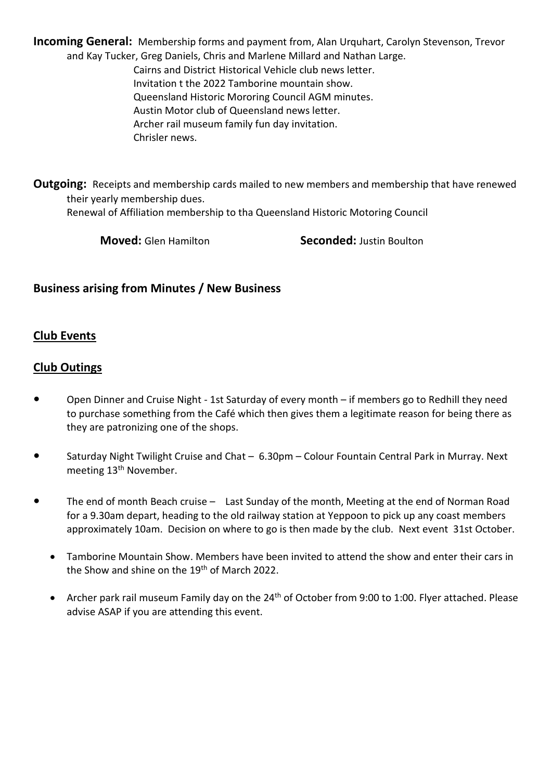**Incoming General:** Membership forms and payment from, Alan Urquhart, Carolyn Stevenson, Trevor and Kay Tucker, Greg Daniels, Chris and Marlene Millard and Nathan Large. Cairns and District Historical Vehicle club news letter. Invitation t the 2022 Tamborine mountain show. Queensland Historic Mororing Council AGM minutes. Austin Motor club of Queensland news letter. Archer rail museum family fun day invitation. Chrisler news.

**Outgoing:** Receipts and membership cards mailed to new members and membership that have renewed their yearly membership dues.

Renewal of Affiliation membership to tha Queensland Historic Motoring Council

**Moved:** Glen Hamilton **Seconded:** Justin Boulton

# **Business arising from Minutes / New Business**

#### **Club Events**

#### **Club Outings**

- **•** Open Dinner and Cruise Night 1st Saturday of every month if members go to Redhill they need to purchase something from the Café which then gives them a legitimate reason for being there as they are patronizing one of the shops.
- **•** Saturday Night Twilight Cruise and Chat 6.30pm Colour Fountain Central Park in Murray. Next meeting 13<sup>th</sup> November.
- **•** The end of month Beach cruise Last Sunday of the month, Meeting at the end of Norman Road for a 9.30am depart, heading to the old railway station at Yeppoon to pick up any coast members approximately 10am. Decision on where to go is then made by the club. Next event 31st October.
	- Tamborine Mountain Show. Members have been invited to attend the show and enter their cars in the Show and shine on the 19<sup>th</sup> of March 2022.
	- Archer park rail museum Family day on the 24<sup>th</sup> of October from 9:00 to 1:00. Flyer attached. Please advise ASAP if you are attending this event.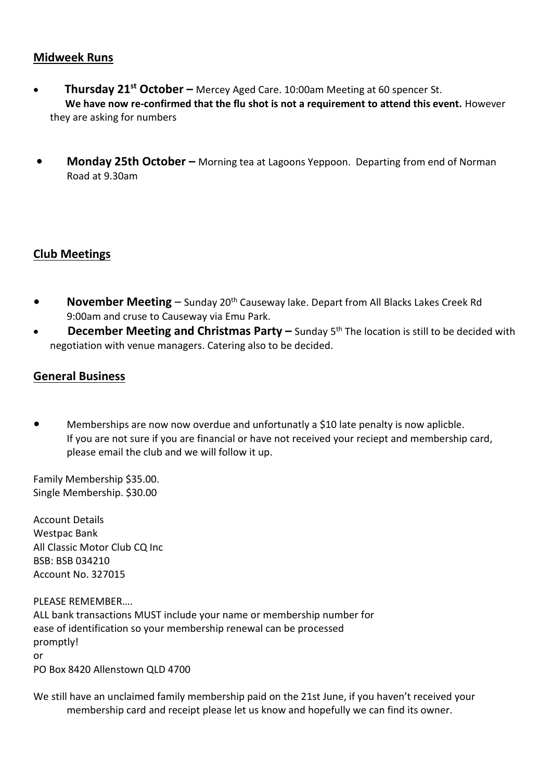#### **Midweek Runs**

- • **Thursday 21st October –** Mercey Aged Care. 10:00am Meeting at 60 spencer St. We have now re-confirmed that the flu shot is not a requirement to attend this event. However they are asking for numbers
- **Monday 25th October –** Morning tea at Lagoons Yeppoon. Departing from end of Norman Road at 9.30am

### **Club Meetings**

- **•** November Meeting Sunday 20<sup>th</sup> Causeway lake. Depart from All Blacks Lakes Creek Rd 9:00am and cruse to Causeway via Emu Park.
- **December Meeting and Christmas Party –** Sunday 5<sup>th</sup> The location is still to be decided with negotiation with venue managers. Catering also to be decided.

### **General Business**

**•** Memberships are now now overdue and unfortunatly a \$10 late penalty is now aplicble. If you are not sure if you are financial or have not received your reciept and membership card, please email the club and we will follow it up.

Family Membership \$35.00. Single Membership. \$30.00

Account Details Westpac Bank All Classic Motor Club CQ Inc BSB: BSB 034210 Account No. 327015

PLEASE REMEMBER….

ALL bank transactions MUST include your name or membership number for ease of identification so your membership renewal can be processed promptly! or PO Box 8420 Allenstown QLD 4700

We still have an unclaimed family membership paid on the 21st June, if you haven't received your membership card and receipt please let us know and hopefully we can find its owner.